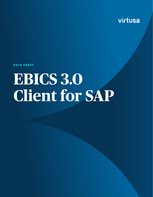

**DATA SHEET**

# **EBICS 3.0 Client for SAP**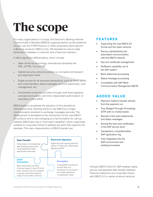## **The scope**

For many organizations in Europe, the Electronic Banking Internet Communication Standard (EBICS) is gaining traction as the preferred choice over the FTAM Protocol or other proprietary bank-specific e-Banking products. EBICS is the DK-standard for secure data transmission between a customer and a financial institution.

It offers significant differentiators, which include:

- State-of-the-art technology, international standards like XML, HTTPS, TLS and ZIP
- Highest security protocol possible i.e. encryption at transport and application level
- Single access for all business transactions, such as direct debits and credit transfers, status messages, account statements, cash management, etc.
- Involvement of service providers through multi-level signature concept and location, and time-independent authorization of submitted orders (DES)

EBICS seeks to accelerate the adoption of this standard at international level, allowing banks to use EBICS as a single communication standard to exchange messages securely. The development is facilitated by the introduction of the new EBICS 3.0 protocol and is now emerging as a harmonization for various markets. EBICS also has a "multi-bank capability", which is generally suitable for corporate clients to address any bank that supports the standard. The main characteristics of EBICS transfer are:



#### **FEATURES**

- Supporting the new EBICS 3.0 format and the older versions
- Secure, standardized and automated communication with the EBICS network
- Key and certificate management
- Multibank capability out of the SAP system
- Bank statement processing
- Status message processing
- Compatible with SAP Bank Communication Management (BCM)

#### **ADDED VALUE**

- Payment medium transfer directly from the payment run
- True Straight-Through-Processing (STP) with no media breaks
- Receipt of the bank statements and status messages
- Storing the keys and certificates in the SAP secure store
- Transparent, comprehensible SAP application log
- Fully integrated into the SAP environment and existing processes

Virtusa's EBICS Client for SAP enables highly secure, standardized data transfer between financial institutions and corporate clients with EBICS 3.0 or earlier protocol versions.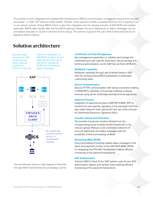The solution is fully integrated into existing SAP infrastructure. EBICS communication is triggered directly from the SAP processes - a "real" STP without media breaks. Transfer of the payment media is possible directly from a payment run or via manual upload. Virtusa EBICS Client is also fully integrated into the release process of SAP BCM and enables automatic EBICS data transfer after the final BCM payment release. Account statements or status messages can be processed manually or via job-controlled direct pickup. The solution supports the use of the Distributed Electronic Signature (VEU) method.

### **Solution architecture**

Payment data medium for SAP as well as any other external systems i.e. FI-CA, FS-CD, etc.

Optional integration of SAP BCM enables secure approval process using electronic signatures (A+B) and processing status messages



The architecture allows a high degree of flexibility through BAdI implementations at strategic points.

#### **Certificates and Key Management**

Key management application to initialize and manage the certificates and user-specific bank keys. Secure storage and technical administration via the SAP Secure Store (STRUST).

#### **Multibank Capability**

Multibank capability through use of stored banks in SAP with the corresponding EBICS parameters in dedicated customizing table.

#### **Secure Communication**

Secure HTTPS communication with stored connection setting in SM59 (RFC). Identities of financials institutes is always ensured using server certificates and electronical signatures.

#### **Approval Process**

Integration of approval process in SAP BCM (BNK\_APP to transmit the user-specific signature or the equivalent S/4 Fiori app called 'approve bank payments') and use of the process for Distributed Electronic Signature (VEU).

#### **Transfer, Upload and Download**

The transfer of payment medium directly from the corresponding event modules (event module 41) or via manual upload. Manual or job-controlled collection of account statements and status messages with the possibility of direct processing via BAdI.

#### **Monitoring (BNK\_MONI)**

Direct processing of banking-related status messages in the batch and payment monitor of the SAP BCM (BNK\_MONI for displaying the PTK/HAC Feedbacks) enables efficient monitoring of the payment transactions.

#### **SAP Authorization**

Virtusa's EBICS Client 3.0 for SAP solution uses its own SAP authorization objects and sample roles enabling efficient monitoring of the payment transactions.